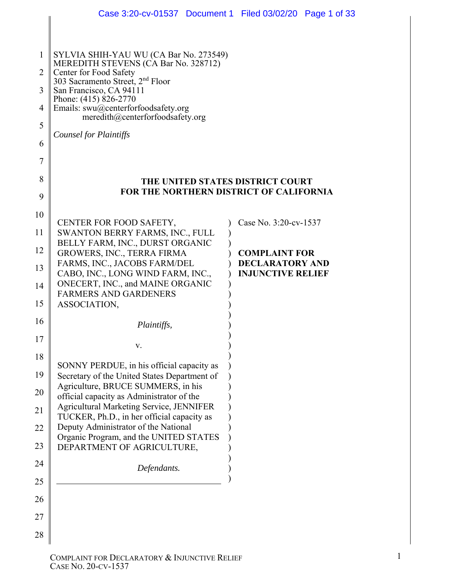|                | Case 3:20-cv-01537 Document 1 Filed 03/02/20 Page 1 of 33                                                                  |  |                                                    |  |  |  |  |  |
|----------------|----------------------------------------------------------------------------------------------------------------------------|--|----------------------------------------------------|--|--|--|--|--|
|                |                                                                                                                            |  |                                                    |  |  |  |  |  |
| $\mathbf{1}$   | SYLVIA SHIH-YAU WU (CA Bar No. 273549)<br>MEREDITH STEVENS (CA Bar No. 328712)                                             |  |                                                    |  |  |  |  |  |
| $\overline{2}$ | Center for Food Safety<br>303 Sacramento Street, 2 <sup>nd</sup> Floor<br>San Francisco, CA 94111<br>Phone: (415) 826-2770 |  |                                                    |  |  |  |  |  |
| 3              |                                                                                                                            |  |                                                    |  |  |  |  |  |
| $\overline{4}$ | Emails: swu@centerforfoodsafety.org                                                                                        |  |                                                    |  |  |  |  |  |
| 5              | meredith@centerforfoodsafety.org                                                                                           |  |                                                    |  |  |  |  |  |
| 6              | <b>Counsel for Plaintiffs</b>                                                                                              |  |                                                    |  |  |  |  |  |
| 7              |                                                                                                                            |  |                                                    |  |  |  |  |  |
| 8              | THE UNITED STATES DISTRICT COURT                                                                                           |  |                                                    |  |  |  |  |  |
| 9              | FOR THE NORTHERN DISTRICT OF CALIFORNIA                                                                                    |  |                                                    |  |  |  |  |  |
| 10             |                                                                                                                            |  |                                                    |  |  |  |  |  |
| 11             | CENTER FOR FOOD SAFETY,<br>SWANTON BERRY FARMS, INC., FULL                                                                 |  | Case No. 3:20-cv-1537                              |  |  |  |  |  |
| 12             | BELLY FARM, INC., DURST ORGANIC<br>GROWERS, INC., TERRA FIRMA                                                              |  | <b>COMPLAINT FOR</b>                               |  |  |  |  |  |
| 13             | FARMS, INC., JACOBS FARM/DEL                                                                                               |  | <b>DECLARATORY AND</b><br><b>INJUNCTIVE RELIEF</b> |  |  |  |  |  |
| 14             | CABO, INC., LONG WIND FARM, INC.,<br>ONECERT, INC., and MAINE ORGANIC                                                      |  |                                                    |  |  |  |  |  |
| 15             | <b>FARMERS AND GARDENERS</b><br>ASSOCIATION,                                                                               |  |                                                    |  |  |  |  |  |
| 16             | Plaintiffs,                                                                                                                |  |                                                    |  |  |  |  |  |
| $17\,$         |                                                                                                                            |  |                                                    |  |  |  |  |  |
| 18             | V.                                                                                                                         |  |                                                    |  |  |  |  |  |
| 19             | SONNY PERDUE, in his official capacity as<br>Secretary of the United States Department of                                  |  |                                                    |  |  |  |  |  |
| 20             | Agriculture, BRUCE SUMMERS, in his                                                                                         |  |                                                    |  |  |  |  |  |
| 21             | official capacity as Administrator of the<br>Agricultural Marketing Service, JENNIFER                                      |  |                                                    |  |  |  |  |  |
| 22             | TUCKER, Ph.D., in her official capacity as<br>Deputy Administrator of the National                                         |  |                                                    |  |  |  |  |  |
| 23             | Organic Program, and the UNITED STATES                                                                                     |  |                                                    |  |  |  |  |  |
| 24             | DEPARTMENT OF AGRICULTURE,                                                                                                 |  |                                                    |  |  |  |  |  |
| 25             | Defendants.                                                                                                                |  |                                                    |  |  |  |  |  |
| 26             |                                                                                                                            |  |                                                    |  |  |  |  |  |
| 27             |                                                                                                                            |  |                                                    |  |  |  |  |  |
| 28             |                                                                                                                            |  |                                                    |  |  |  |  |  |
|                |                                                                                                                            |  |                                                    |  |  |  |  |  |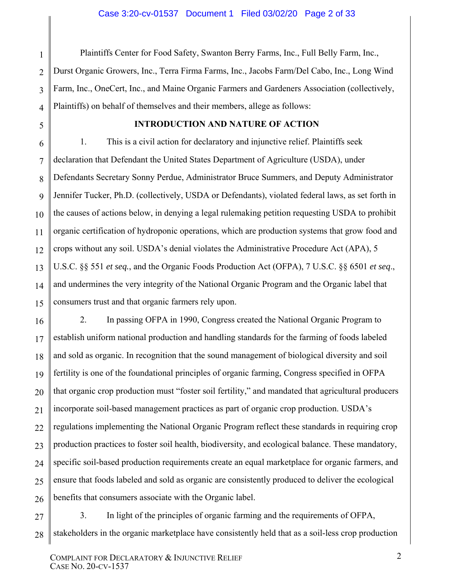Plaintiffs Center for Food Safety, Swanton Berry Farms, Inc., Full Belly Farm, Inc., Durst Organic Growers, Inc., Terra Firma Farms, Inc., Jacobs Farm/Del Cabo, Inc., Long Wind Farm, Inc., OneCert, Inc., and Maine Organic Farmers and Gardeners Association (collectively, Plaintiffs) on behalf of themselves and their members, allege as follows:

### **INTRODUCTION AND NATURE OF ACTION**

1. This is a civil action for declaratory and injunctive relief. Plaintiffs seek declaration that Defendant the United States Department of Agriculture (USDA), under Defendants Secretary Sonny Perdue, Administrator Bruce Summers, and Deputy Administrator Jennifer Tucker, Ph.D. (collectively, USDA or Defendants), violated federal laws, as set forth in the causes of actions below, in denying a legal rulemaking petition requesting USDA to prohibit organic certification of hydroponic operations, which are production systems that grow food and crops without any soil. USDA's denial violates the Administrative Procedure Act (APA), 5 U.S.C. §§ 551 *et seq.*, and the Organic Foods Production Act (OFPA), 7 U.S.C. §§ 6501 *et seq*., and undermines the very integrity of the National Organic Program and the Organic label that consumers trust and that organic farmers rely upon.

2. In passing OFPA in 1990, Congress created the National Organic Program to establish uniform national production and handling standards for the farming of foods labeled and sold as organic. In recognition that the sound management of biological diversity and soil fertility is one of the foundational principles of organic farming, Congress specified in OFPA that organic crop production must "foster soil fertility," and mandated that agricultural producers incorporate soil-based management practices as part of organic crop production. USDA's regulations implementing the National Organic Program reflect these standards in requiring crop production practices to foster soil health, biodiversity, and ecological balance. These mandatory, specific soil-based production requirements create an equal marketplace for organic farmers, and ensure that foods labeled and sold as organic are consistently produced to deliver the ecological benefits that consumers associate with the Organic label.

3. In light of the principles of organic farming and the requirements of OFPA, stakeholders in the organic marketplace have consistently held that as a soil-less crop production

1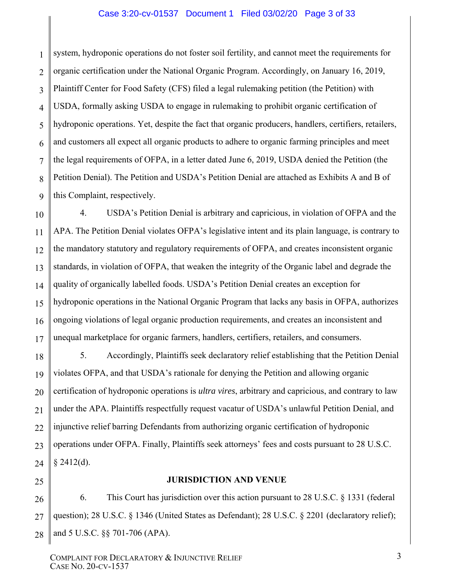#### Case 3:20-cv-01537 Document 1 Filed 03/02/20 Page 3 of 33

1 2 3 4 5 6 7 8 9 system, hydroponic operations do not foster soil fertility, and cannot meet the requirements for organic certification under the National Organic Program. Accordingly, on January 16, 2019, Plaintiff Center for Food Safety (CFS) filed a legal rulemaking petition (the Petition) with USDA, formally asking USDA to engage in rulemaking to prohibit organic certification of hydroponic operations. Yet, despite the fact that organic producers, handlers, certifiers, retailers, and customers all expect all organic products to adhere to organic farming principles and meet the legal requirements of OFPA, in a letter dated June 6, 2019, USDA denied the Petition (the Petition Denial). The Petition and USDA's Petition Denial are attached as Exhibits A and B of this Complaint, respectively.

10 11 12 13 14 15 16 17 4. USDA's Petition Denial is arbitrary and capricious, in violation of OFPA and the APA. The Petition Denial violates OFPA's legislative intent and its plain language, is contrary to the mandatory statutory and regulatory requirements of OFPA, and creates inconsistent organic standards, in violation of OFPA, that weaken the integrity of the Organic label and degrade the quality of organically labelled foods. USDA's Petition Denial creates an exception for hydroponic operations in the National Organic Program that lacks any basis in OFPA, authorizes ongoing violations of legal organic production requirements, and creates an inconsistent and unequal marketplace for organic farmers, handlers, certifiers, retailers, and consumers.

18 19 20 21 22 23 24 5. Accordingly, Plaintiffs seek declaratory relief establishing that the Petition Denial violates OFPA, and that USDA's rationale for denying the Petition and allowing organic certification of hydroponic operations is *ultra vires*, arbitrary and capricious, and contrary to law under the APA. Plaintiffs respectfully request vacatur of USDA's unlawful Petition Denial, and injunctive relief barring Defendants from authorizing organic certification of hydroponic operations under OFPA. Finally, Plaintiffs seek attorneys' fees and costs pursuant to 28 U.S.C. § 2412(d).

25

#### **JURISDICTION AND VENUE**

26 27 28 6. This Court has jurisdiction over this action pursuant to 28 U.S.C. § 1331 (federal question); 28 U.S.C. § 1346 (United States as Defendant); 28 U.S.C. § 2201 (declaratory relief); and 5 U.S.C. §§ 701-706 (APA).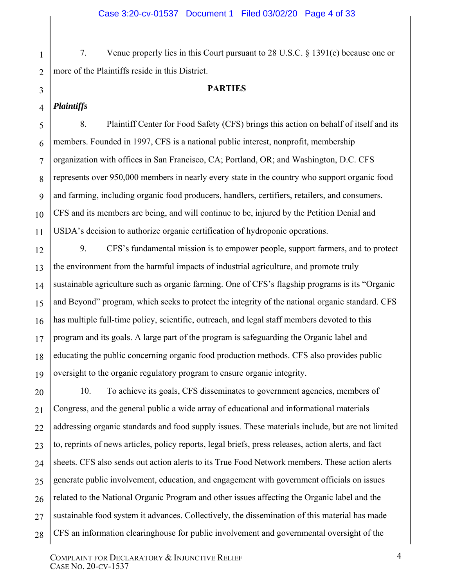7. Venue properly lies in this Court pursuant to 28 U.S.C. § 1391(e) because one or more of the Plaintiffs reside in this District.

#### **PARTIES**

#### 4 *Plaintiffs*

1

2

3

5

6

7

8

9

10

11

8. Plaintiff Center for Food Safety (CFS) brings this action on behalf of itself and its members. Founded in 1997, CFS is a national public interest, nonprofit, membership organization with offices in San Francisco, CA; Portland, OR; and Washington, D.C. CFS represents over 950,000 members in nearly every state in the country who support organic food and farming, including organic food producers, handlers, certifiers, retailers, and consumers. CFS and its members are being, and will continue to be, injured by the Petition Denial and USDA's decision to authorize organic certification of hydroponic operations.

12 13 14 15 16 17 18 19 9. CFS's fundamental mission is to empower people, support farmers, and to protect the environment from the harmful impacts of industrial agriculture, and promote truly sustainable agriculture such as organic farming. One of CFS's flagship programs is its "Organic and Beyond" program, which seeks to protect the integrity of the national organic standard. CFS has multiple full-time policy, scientific, outreach, and legal staff members devoted to this program and its goals. A large part of the program is safeguarding the Organic label and educating the public concerning organic food production methods. CFS also provides public oversight to the organic regulatory program to ensure organic integrity.

20 21 22 23 24 25 26 27 28 10. To achieve its goals, CFS disseminates to government agencies, members of Congress, and the general public a wide array of educational and informational materials addressing organic standards and food supply issues. These materials include, but are not limited to, reprints of news articles, policy reports, legal briefs, press releases, action alerts, and fact sheets. CFS also sends out action alerts to its True Food Network members. These action alerts generate public involvement, education, and engagement with government officials on issues related to the National Organic Program and other issues affecting the Organic label and the sustainable food system it advances. Collectively, the dissemination of this material has made CFS an information clearinghouse for public involvement and governmental oversight of the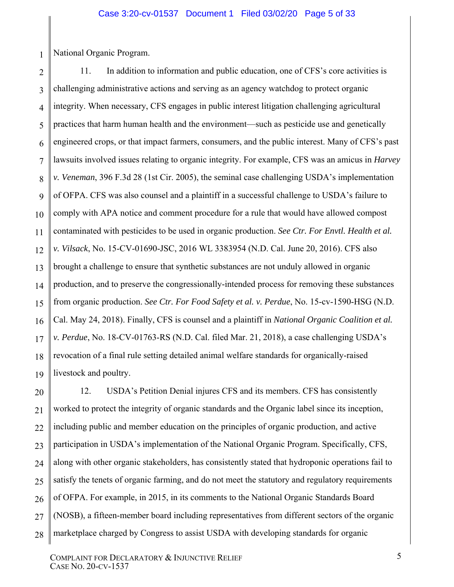National Organic Program.

1

2 3 4 5 6 7 8 9 10 11 12 13 14 15 16 17 18 19 11. In addition to information and public education, one of CFS's core activities is challenging administrative actions and serving as an agency watchdog to protect organic integrity. When necessary, CFS engages in public interest litigation challenging agricultural practices that harm human health and the environment—such as pesticide use and genetically engineered crops, or that impact farmers, consumers, and the public interest. Many of CFS's past lawsuits involved issues relating to organic integrity. For example, CFS was an amicus in *Harvey v. Veneman*, 396 F.3d 28 (1st Cir. 2005), the seminal case challenging USDA's implementation of OFPA. CFS was also counsel and a plaintiff in a successful challenge to USDA's failure to comply with APA notice and comment procedure for a rule that would have allowed compost contaminated with pesticides to be used in organic production. *See Ctr. For Envtl. Health et al. v. Vilsack*, No. 15-CV-01690-JSC, 2016 WL 3383954 (N.D. Cal. June 20, 2016). CFS also brought a challenge to ensure that synthetic substances are not unduly allowed in organic production, and to preserve the congressionally-intended process for removing these substances from organic production. *See Ctr. For Food Safety et al. v. Perdue*, No. 15-cv-1590-HSG (N.D. Cal. May 24, 2018). Finally, CFS is counsel and a plaintiff in *National Organic Coalition et al. v. Perdue*, No. 18-CV-01763-RS (N.D. Cal. filed Mar. 21, 2018), a case challenging USDA's revocation of a final rule setting detailed animal welfare standards for organically-raised livestock and poultry.

20 21 22 23 24 25 26 27 28 12. USDA's Petition Denial injures CFS and its members. CFS has consistently worked to protect the integrity of organic standards and the Organic label since its inception, including public and member education on the principles of organic production, and active participation in USDA's implementation of the National Organic Program. Specifically, CFS, along with other organic stakeholders, has consistently stated that hydroponic operations fail to satisfy the tenets of organic farming, and do not meet the statutory and regulatory requirements of OFPA. For example, in 2015, in its comments to the National Organic Standards Board (NOSB), a fifteen-member board including representatives from different sectors of the organic marketplace charged by Congress to assist USDA with developing standards for organic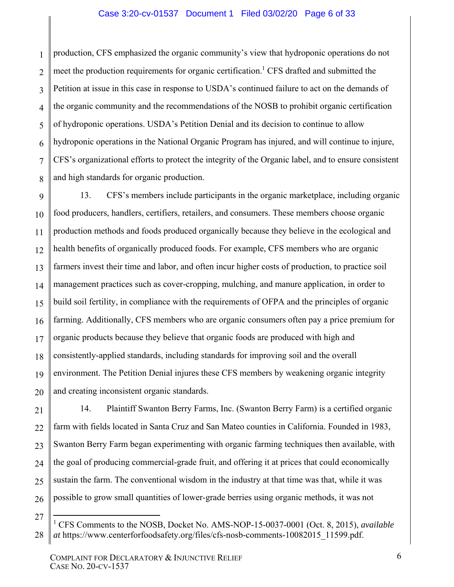#### Case 3:20-cv-01537 Document 1 Filed 03/02/20 Page 6 of 33

1 2 3 4 5 6 7 8 production, CFS emphasized the organic community's view that hydroponic operations do not meet the production requirements for organic certification.<sup>1</sup> CFS drafted and submitted the Petition at issue in this case in response to USDA's continued failure to act on the demands of the organic community and the recommendations of the NOSB to prohibit organic certification of hydroponic operations. USDA's Petition Denial and its decision to continue to allow hydroponic operations in the National Organic Program has injured, and will continue to injure, CFS's organizational efforts to protect the integrity of the Organic label, and to ensure consistent and high standards for organic production.

9 10 11 12 13 14 15 16 17 18 19 20 13. CFS's members include participants in the organic marketplace, including organic food producers, handlers, certifiers, retailers, and consumers. These members choose organic production methods and foods produced organically because they believe in the ecological and health benefits of organically produced foods. For example, CFS members who are organic farmers invest their time and labor, and often incur higher costs of production, to practice soil management practices such as cover-cropping, mulching, and manure application, in order to build soil fertility, in compliance with the requirements of OFPA and the principles of organic farming. Additionally, CFS members who are organic consumers often pay a price premium for organic products because they believe that organic foods are produced with high and consistently-applied standards, including standards for improving soil and the overall environment. The Petition Denial injures these CFS members by weakening organic integrity and creating inconsistent organic standards.

21 22 23 24 25 26 14. Plaintiff Swanton Berry Farms, Inc. (Swanton Berry Farm) is a certified organic farm with fields located in Santa Cruz and San Mateo counties in California. Founded in 1983, Swanton Berry Farm began experimenting with organic farming techniques then available, with the goal of producing commercial-grade fruit, and offering it at prices that could economically sustain the farm. The conventional wisdom in the industry at that time was that, while it was possible to grow small quantities of lower-grade berries using organic methods, it was not

 $\overline{a}$ 

<sup>27</sup> 28 <sup>1</sup> CFS Comments to the NOSB, Docket No. AMS-NOP-15-0037-0001 (Oct. 8, 2015), *available at* https://www.centerforfoodsafety.org/files/cfs-nosb-comments-10082015\_11599.pdf.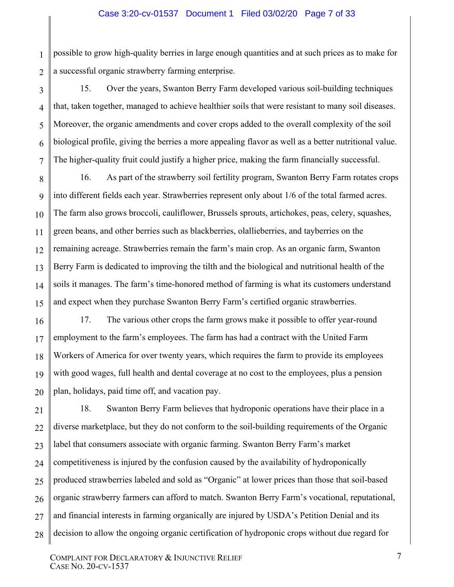2 possible to grow high-quality berries in large enough quantities and at such prices as to make for a successful organic strawberry farming enterprise.

1

3

4

5

6

7

15. Over the years, Swanton Berry Farm developed various soil-building techniques that, taken together, managed to achieve healthier soils that were resistant to many soil diseases. Moreover, the organic amendments and cover crops added to the overall complexity of the soil biological profile, giving the berries a more appealing flavor as well as a better nutritional value. The higher-quality fruit could justify a higher price, making the farm financially successful.

8 9 10 11 12 13 14 15 16. As part of the strawberry soil fertility program, Swanton Berry Farm rotates crops into different fields each year. Strawberries represent only about 1/6 of the total farmed acres. The farm also grows broccoli, cauliflower, Brussels sprouts, artichokes, peas, celery, squashes, green beans, and other berries such as blackberries, olallieberries, and tayberries on the remaining acreage. Strawberries remain the farm's main crop. As an organic farm, Swanton Berry Farm is dedicated to improving the tilth and the biological and nutritional health of the soils it manages. The farm's time-honored method of farming is what its customers understand and expect when they purchase Swanton Berry Farm's certified organic strawberries.

16 17 18 19 20 17. The various other crops the farm grows make it possible to offer year-round employment to the farm's employees. The farm has had a contract with the United Farm Workers of America for over twenty years, which requires the farm to provide its employees with good wages, full health and dental coverage at no cost to the employees, plus a pension plan, holidays, paid time off, and vacation pay.

21 22 23 24 25 26 27 28 18. Swanton Berry Farm believes that hydroponic operations have their place in a diverse marketplace, but they do not conform to the soil-building requirements of the Organic label that consumers associate with organic farming. Swanton Berry Farm's market competitiveness is injured by the confusion caused by the availability of hydroponically produced strawberries labeled and sold as "Organic" at lower prices than those that soil-based organic strawberry farmers can afford to match. Swanton Berry Farm's vocational, reputational, and financial interests in farming organically are injured by USDA's Petition Denial and its decision to allow the ongoing organic certification of hydroponic crops without due regard for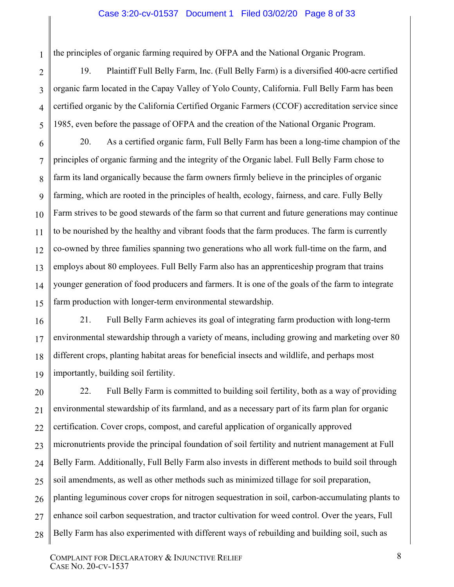#### Case 3:20-cv-01537 Document 1 Filed 03/02/20 Page 8 of 33

the principles of organic farming required by OFPA and the National Organic Program.

1

2

3

4

5

19. Plaintiff Full Belly Farm, Inc. (Full Belly Farm) is a diversified 400-acre certified organic farm located in the Capay Valley of Yolo County, California. Full Belly Farm has been certified organic by the California Certified Organic Farmers (CCOF) accreditation service since 1985, even before the passage of OFPA and the creation of the National Organic Program.

6 7 8 9 10 11 12 13 14 15 20. As a certified organic farm, Full Belly Farm has been a long-time champion of the principles of organic farming and the integrity of the Organic label. Full Belly Farm chose to farm its land organically because the farm owners firmly believe in the principles of organic farming, which are rooted in the principles of health, ecology, fairness, and care. Fully Belly Farm strives to be good stewards of the farm so that current and future generations may continue to be nourished by the healthy and vibrant foods that the farm produces. The farm is currently co-owned by three families spanning two generations who all work full-time on the farm, and employs about 80 employees. Full Belly Farm also has an apprenticeship program that trains younger generation of food producers and farmers. It is one of the goals of the farm to integrate farm production with longer-term environmental stewardship.

16 17 18 19 21. Full Belly Farm achieves its goal of integrating farm production with long-term environmental stewardship through a variety of means, including growing and marketing over 80 different crops, planting habitat areas for beneficial insects and wildlife, and perhaps most importantly, building soil fertility.

20 21 22 23 24 25 26 27 28 22. Full Belly Farm is committed to building soil fertility, both as a way of providing environmental stewardship of its farmland, and as a necessary part of its farm plan for organic certification. Cover crops, compost, and careful application of organically approved micronutrients provide the principal foundation of soil fertility and nutrient management at Full Belly Farm. Additionally, Full Belly Farm also invests in different methods to build soil through soil amendments, as well as other methods such as minimized tillage for soil preparation, planting leguminous cover crops for nitrogen sequestration in soil, carbon-accumulating plants to enhance soil carbon sequestration, and tractor cultivation for weed control. Over the years, Full Belly Farm has also experimented with different ways of rebuilding and building soil, such as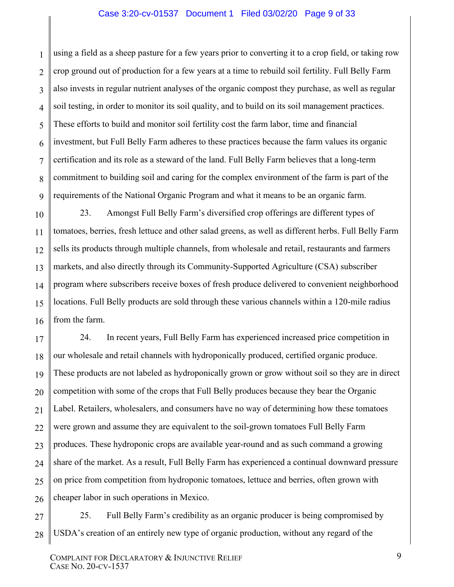#### Case 3:20-cv-01537 Document 1 Filed 03/02/20 Page 9 of 33

1 2 3 4 5 6 7 8 9 using a field as a sheep pasture for a few years prior to converting it to a crop field, or taking row crop ground out of production for a few years at a time to rebuild soil fertility. Full Belly Farm also invests in regular nutrient analyses of the organic compost they purchase, as well as regular soil testing, in order to monitor its soil quality, and to build on its soil management practices. These efforts to build and monitor soil fertility cost the farm labor, time and financial investment, but Full Belly Farm adheres to these practices because the farm values its organic certification and its role as a steward of the land. Full Belly Farm believes that a long-term commitment to building soil and caring for the complex environment of the farm is part of the requirements of the National Organic Program and what it means to be an organic farm.

10 11 12 13 14 15 16 23. Amongst Full Belly Farm's diversified crop offerings are different types of tomatoes, berries, fresh lettuce and other salad greens, as well as different herbs. Full Belly Farm sells its products through multiple channels, from wholesale and retail, restaurants and farmers markets, and also directly through its Community-Supported Agriculture (CSA) subscriber program where subscribers receive boxes of fresh produce delivered to convenient neighborhood locations. Full Belly products are sold through these various channels within a 120-mile radius from the farm.

17 18 19 20 21 22 23 24 25 26 24. In recent years, Full Belly Farm has experienced increased price competition in our wholesale and retail channels with hydroponically produced, certified organic produce. These products are not labeled as hydroponically grown or grow without soil so they are in direct competition with some of the crops that Full Belly produces because they bear the Organic Label. Retailers, wholesalers, and consumers have no way of determining how these tomatoes were grown and assume they are equivalent to the soil-grown tomatoes Full Belly Farm produces. These hydroponic crops are available year-round and as such command a growing share of the market. As a result, Full Belly Farm has experienced a continual downward pressure on price from competition from hydroponic tomatoes, lettuce and berries, often grown with cheaper labor in such operations in Mexico.

27 28 25. Full Belly Farm's credibility as an organic producer is being compromised by USDA's creation of an entirely new type of organic production, without any regard of the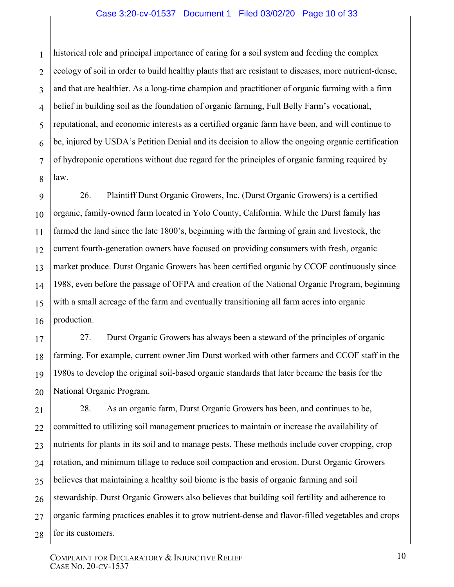#### Case 3:20-cv-01537 Document 1 Filed 03/02/20 Page 10 of 33

1 2 3 4 5 6 7 8 historical role and principal importance of caring for a soil system and feeding the complex ecology of soil in order to build healthy plants that are resistant to diseases, more nutrient-dense, and that are healthier. As a long-time champion and practitioner of organic farming with a firm belief in building soil as the foundation of organic farming, Full Belly Farm's vocational, reputational, and economic interests as a certified organic farm have been, and will continue to be, injured by USDA's Petition Denial and its decision to allow the ongoing organic certification of hydroponic operations without due regard for the principles of organic farming required by law.

9 10 11 12 13 14 15 16 26. Plaintiff Durst Organic Growers, Inc. (Durst Organic Growers) is a certified organic, family-owned farm located in Yolo County, California. While the Durst family has farmed the land since the late 1800's, beginning with the farming of grain and livestock, the current fourth-generation owners have focused on providing consumers with fresh, organic market produce. Durst Organic Growers has been certified organic by CCOF continuously since 1988, even before the passage of OFPA and creation of the National Organic Program, beginning with a small acreage of the farm and eventually transitioning all farm acres into organic production.

17 18 19 20 27. Durst Organic Growers has always been a steward of the principles of organic farming. For example, current owner Jim Durst worked with other farmers and CCOF staff in the 1980s to develop the original soil-based organic standards that later became the basis for the National Organic Program.

21 22 23 24 25 26 27 28 28. As an organic farm, Durst Organic Growers has been, and continues to be, committed to utilizing soil management practices to maintain or increase the availability of nutrients for plants in its soil and to manage pests. These methods include cover cropping, crop rotation, and minimum tillage to reduce soil compaction and erosion. Durst Organic Growers believes that maintaining a healthy soil biome is the basis of organic farming and soil stewardship. Durst Organic Growers also believes that building soil fertility and adherence to organic farming practices enables it to grow nutrient-dense and flavor-filled vegetables and crops for its customers.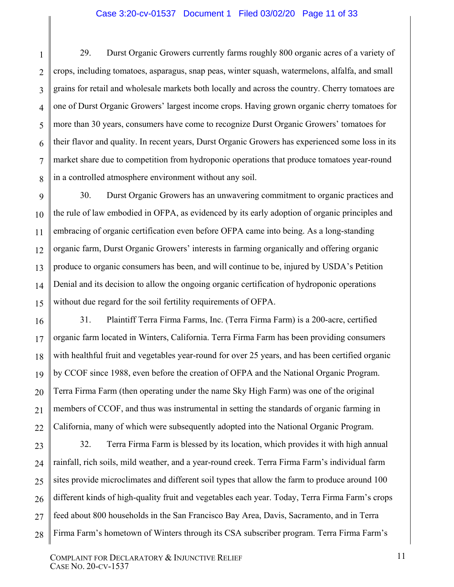#### Case 3:20-cv-01537 Document 1 Filed 03/02/20 Page 11 of 33

2 3 29. Durst Organic Growers currently farms roughly 800 organic acres of a variety of crops, including tomatoes, asparagus, snap peas, winter squash, watermelons, alfalfa, and small grains for retail and wholesale markets both locally and across the country. Cherry tomatoes are one of Durst Organic Growers' largest income crops. Having grown organic cherry tomatoes for more than 30 years, consumers have come to recognize Durst Organic Growers' tomatoes for their flavor and quality. In recent years, Durst Organic Growers has experienced some loss in its market share due to competition from hydroponic operations that produce tomatoes year-round in a controlled atmosphere environment without any soil.

30. Durst Organic Growers has an unwavering commitment to organic practices and the rule of law embodied in OFPA, as evidenced by its early adoption of organic principles and embracing of organic certification even before OFPA came into being. As a long-standing organic farm, Durst Organic Growers' interests in farming organically and offering organic produce to organic consumers has been, and will continue to be, injured by USDA's Petition Denial and its decision to allow the ongoing organic certification of hydroponic operations without due regard for the soil fertility requirements of OFPA.

31. Plaintiff Terra Firma Farms, Inc. (Terra Firma Farm) is a 200-acre, certified organic farm located in Winters, California. Terra Firma Farm has been providing consumers with healthful fruit and vegetables year-round for over 25 years, and has been certified organic by CCOF since 1988, even before the creation of OFPA and the National Organic Program. Terra Firma Farm (then operating under the name Sky High Farm) was one of the original members of CCOF, and thus was instrumental in setting the standards of organic farming in California, many of which were subsequently adopted into the National Organic Program.

32. Terra Firma Farm is blessed by its location, which provides it with high annual rainfall, rich soils, mild weather, and a year-round creek. Terra Firma Farm's individual farm sites provide microclimates and different soil types that allow the farm to produce around 100 different kinds of high-quality fruit and vegetables each year. Today, Terra Firma Farm's crops feed about 800 households in the San Francisco Bay Area, Davis, Sacramento, and in Terra Firma Farm's hometown of Winters through its CSA subscriber program. Terra Firma Farm's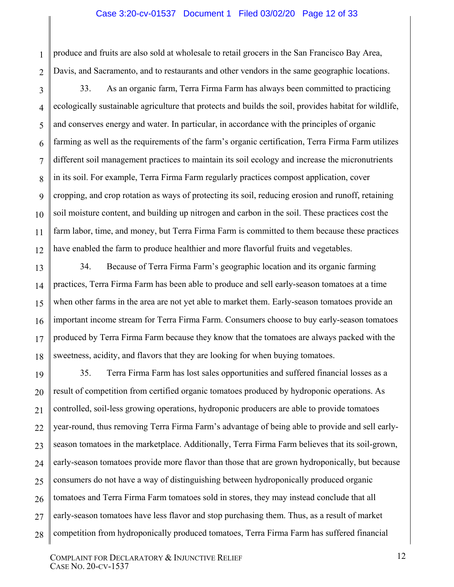#### Case 3:20-cv-01537 Document 1 Filed 03/02/20 Page 12 of 33

produce and fruits are also sold at wholesale to retail grocers in the San Francisco Bay Area, Davis, and Sacramento, and to restaurants and other vendors in the same geographic locations.

1

2

3 4 5 6 7 8 9 10 11 12 33. As an organic farm, Terra Firma Farm has always been committed to practicing ecologically sustainable agriculture that protects and builds the soil, provides habitat for wildlife, and conserves energy and water. In particular, in accordance with the principles of organic farming as well as the requirements of the farm's organic certification, Terra Firma Farm utilizes different soil management practices to maintain its soil ecology and increase the micronutrients in its soil. For example, Terra Firma Farm regularly practices compost application, cover cropping, and crop rotation as ways of protecting its soil, reducing erosion and runoff, retaining soil moisture content, and building up nitrogen and carbon in the soil. These practices cost the farm labor, time, and money, but Terra Firma Farm is committed to them because these practices have enabled the farm to produce healthier and more flavorful fruits and vegetables.

13 14 15 16 17 18 34. Because of Terra Firma Farm's geographic location and its organic farming practices, Terra Firma Farm has been able to produce and sell early-season tomatoes at a time when other farms in the area are not yet able to market them. Early-season tomatoes provide an important income stream for Terra Firma Farm. Consumers choose to buy early-season tomatoes produced by Terra Firma Farm because they know that the tomatoes are always packed with the sweetness, acidity, and flavors that they are looking for when buying tomatoes.

19 20 21 22 23 24 25 26 27 28 35. Terra Firma Farm has lost sales opportunities and suffered financial losses as a result of competition from certified organic tomatoes produced by hydroponic operations. As controlled, soil-less growing operations, hydroponic producers are able to provide tomatoes year-round, thus removing Terra Firma Farm's advantage of being able to provide and sell earlyseason tomatoes in the marketplace. Additionally, Terra Firma Farm believes that its soil-grown, early-season tomatoes provide more flavor than those that are grown hydroponically, but because consumers do not have a way of distinguishing between hydroponically produced organic tomatoes and Terra Firma Farm tomatoes sold in stores, they may instead conclude that all early-season tomatoes have less flavor and stop purchasing them. Thus, as a result of market competition from hydroponically produced tomatoes, Terra Firma Farm has suffered financial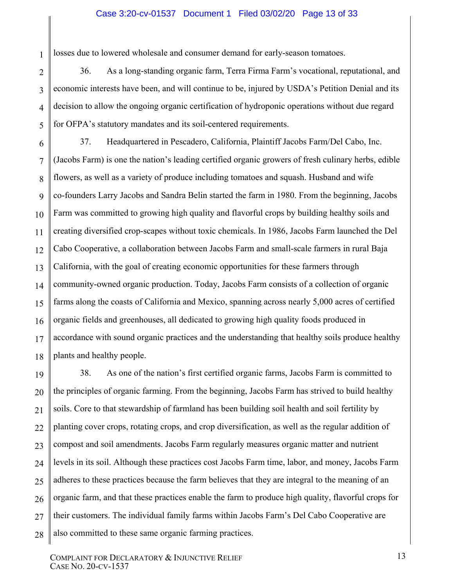#### Case 3:20-cv-01537 Document 1 Filed 03/02/20 Page 13 of 33

losses due to lowered wholesale and consumer demand for early-season tomatoes.

1

2 3 4 5 36. As a long-standing organic farm, Terra Firma Farm's vocational, reputational, and economic interests have been, and will continue to be, injured by USDA's Petition Denial and its decision to allow the ongoing organic certification of hydroponic operations without due regard for OFPA's statutory mandates and its soil-centered requirements.

6 7 8 9 10 11 12 13 14 15 16 17 18 37. Headquartered in Pescadero, California, Plaintiff Jacobs Farm/Del Cabo, Inc. (Jacobs Farm) is one the nation's leading certified organic growers of fresh culinary herbs, edible flowers, as well as a variety of produce including tomatoes and squash. Husband and wife co-founders Larry Jacobs and Sandra Belin started the farm in 1980. From the beginning, Jacobs Farm was committed to growing high quality and flavorful crops by building healthy soils and creating diversified crop-scapes without toxic chemicals. In 1986, Jacobs Farm launched the Del Cabo Cooperative, a collaboration between Jacobs Farm and small-scale farmers in rural Baja California, with the goal of creating economic opportunities for these farmers through community-owned organic production. Today, Jacobs Farm consists of a collection of organic farms along the coasts of California and Mexico, spanning across nearly 5,000 acres of certified organic fields and greenhouses, all dedicated to growing high quality foods produced in accordance with sound organic practices and the understanding that healthy soils produce healthy plants and healthy people.

19 20 21 22 23 24 25 26 27 28 38. As one of the nation's first certified organic farms, Jacobs Farm is committed to the principles of organic farming. From the beginning, Jacobs Farm has strived to build healthy soils. Core to that stewardship of farmland has been building soil health and soil fertility by planting cover crops, rotating crops, and crop diversification, as well as the regular addition of compost and soil amendments. Jacobs Farm regularly measures organic matter and nutrient levels in its soil. Although these practices cost Jacobs Farm time, labor, and money, Jacobs Farm adheres to these practices because the farm believes that they are integral to the meaning of an organic farm, and that these practices enable the farm to produce high quality, flavorful crops for their customers. The individual family farms within Jacobs Farm's Del Cabo Cooperative are also committed to these same organic farming practices.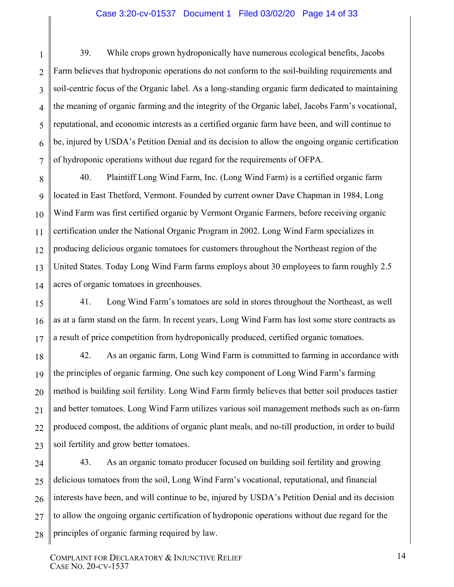#### Case 3:20-cv-01537 Document 1 Filed 03/02/20 Page 14 of 33

1 2 3 4 5 6 7 39. While crops grown hydroponically have numerous ecological benefits, Jacobs Farm believes that hydroponic operations do not conform to the soil-building requirements and soil-centric focus of the Organic label. As a long-standing organic farm dedicated to maintaining the meaning of organic farming and the integrity of the Organic label, Jacobs Farm's vocational, reputational, and economic interests as a certified organic farm have been, and will continue to be, injured by USDA's Petition Denial and its decision to allow the ongoing organic certification of hydroponic operations without due regard for the requirements of OFPA.

8 9 10 11 12 13 14 40. Plaintiff Long Wind Farm, Inc. (Long Wind Farm) is a certified organic farm located in East Thetford, Vermont. Founded by current owner Dave Chapman in 1984, Long Wind Farm was first certified organic by Vermont Organic Farmers, before receiving organic certification under the National Organic Program in 2002. Long Wind Farm specializes in producing delicious organic tomatoes for customers throughout the Northeast region of the United States. Today Long Wind Farm farms employs about 30 employees to farm roughly 2.5 acres of organic tomatoes in greenhouses.

41. Long Wind Farm's tomatoes are sold in stores throughout the Northeast, as well as at a farm stand on the farm. In recent years, Long Wind Farm has lost some store contracts as a result of price competition from hydroponically produced, certified organic tomatoes.

42. As an organic farm, Long Wind Farm is committed to farming in accordance with the principles of organic farming. One such key component of Long Wind Farm's farming method is building soil fertility. Long Wind Farm firmly believes that better soil produces tastier and better tomatoes. Long Wind Farm utilizes various soil management methods such as on-farm produced compost, the additions of organic plant meals, and no-till production, in order to build soil fertility and grow better tomatoes.

24 25 26 27 28 43. As an organic tomato producer focused on building soil fertility and growing delicious tomatoes from the soil, Long Wind Farm's vocational, reputational, and financial interests have been, and will continue to be, injured by USDA's Petition Denial and its decision to allow the ongoing organic certification of hydroponic operations without due regard for the principles of organic farming required by law.

15

16

17

18

19

20

21

22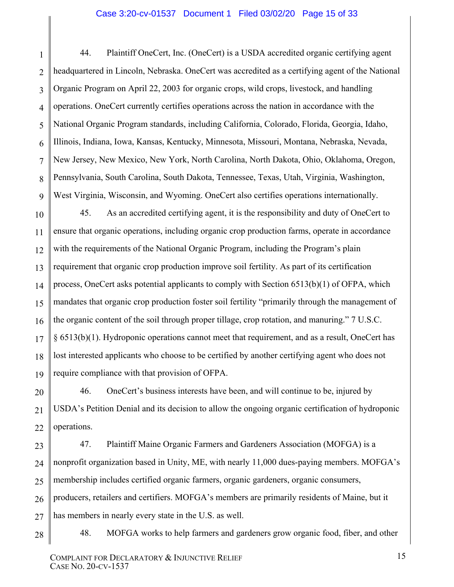#### Case 3:20-cv-01537 Document 1 Filed 03/02/20 Page 15 of 33

2 3 4 5 6 7 8 9 44. Plaintiff OneCert, Inc. (OneCert) is a USDA accredited organic certifying agent headquartered in Lincoln, Nebraska. OneCert was accredited as a certifying agent of the National Organic Program on April 22, 2003 for organic crops, wild crops, livestock, and handling operations. OneCert currently certifies operations across the nation in accordance with the National Organic Program standards, including California, Colorado, Florida, Georgia, Idaho, Illinois, Indiana, Iowa, Kansas, Kentucky, Minnesota, Missouri, Montana, Nebraska, Nevada, New Jersey, New Mexico, New York, North Carolina, North Dakota, Ohio, Oklahoma, Oregon, Pennsylvania, South Carolina, South Dakota, Tennessee, Texas, Utah, Virginia, Washington, West Virginia, Wisconsin, and Wyoming. OneCert also certifies operations internationally.

10 11 12 13 14 15 16 17 18 19 45. As an accredited certifying agent, it is the responsibility and duty of OneCert to ensure that organic operations, including organic crop production farms, operate in accordance with the requirements of the National Organic Program, including the Program's plain requirement that organic crop production improve soil fertility. As part of its certification process, OneCert asks potential applicants to comply with Section 6513(b)(1) of OFPA, which mandates that organic crop production foster soil fertility "primarily through the management of the organic content of the soil through proper tillage, crop rotation, and manuring." 7 U.S.C. § 6513(b)(1). Hydroponic operations cannot meet that requirement, and as a result, OneCert has lost interested applicants who choose to be certified by another certifying agent who does not require compliance with that provision of OFPA.

46. OneCert's business interests have been, and will continue to be, injured by USDA's Petition Denial and its decision to allow the ongoing organic certification of hydroponic operations.

23 24 25 26 27 47. Plaintiff Maine Organic Farmers and Gardeners Association (MOFGA) is a nonprofit organization based in Unity, ME, with nearly 11,000 dues-paying members. MOFGA's membership includes certified organic farmers, organic gardeners, organic consumers, producers, retailers and certifiers. MOFGA's members are primarily residents of Maine, but it has members in nearly every state in the U.S. as well.

28

20

21

22

1

48. MOFGA works to help farmers and gardeners grow organic food, fiber, and other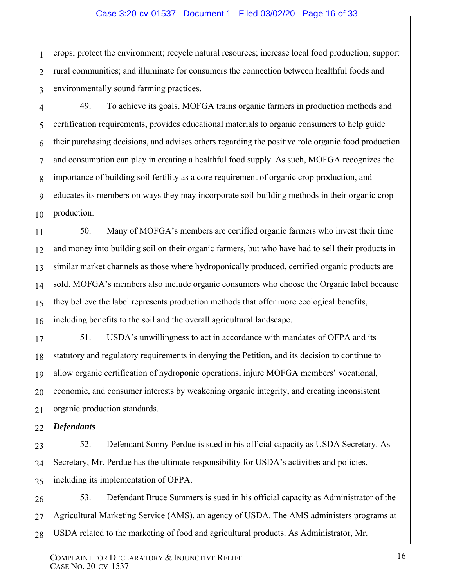#### Case 3:20-cv-01537 Document 1 Filed 03/02/20 Page 16 of 33

1 2 3 crops; protect the environment; recycle natural resources; increase local food production; support rural communities; and illuminate for consumers the connection between healthful foods and environmentally sound farming practices.

4 5 6 8 9 10 49. To achieve its goals, MOFGA trains organic farmers in production methods and certification requirements, provides educational materials to organic consumers to help guide their purchasing decisions, and advises others regarding the positive role organic food production and consumption can play in creating a healthful food supply. As such, MOFGA recognizes the importance of building soil fertility as a core requirement of organic crop production, and educates its members on ways they may incorporate soil-building methods in their organic crop production.

12 13 14 15 16 50. Many of MOFGA's members are certified organic farmers who invest their time and money into building soil on their organic farmers, but who have had to sell their products in similar market channels as those where hydroponically produced, certified organic products are sold. MOFGA's members also include organic consumers who choose the Organic label because they believe the label represents production methods that offer more ecological benefits, including benefits to the soil and the overall agricultural landscape.

17 18 19 20 51. USDA's unwillingness to act in accordance with mandates of OFPA and its statutory and regulatory requirements in denying the Petition, and its decision to continue to allow organic certification of hydroponic operations, injure MOFGA members' vocational, economic, and consumer interests by weakening organic integrity, and creating inconsistent organic production standards.

22 *Defendants* 

21

7

11

23 24 25 52. Defendant Sonny Perdue is sued in his official capacity as USDA Secretary. As Secretary, Mr. Perdue has the ultimate responsibility for USDA's activities and policies, including its implementation of OFPA.

26 27 28 53. Defendant Bruce Summers is sued in his official capacity as Administrator of the Agricultural Marketing Service (AMS), an agency of USDA. The AMS administers programs at USDA related to the marketing of food and agricultural products. As Administrator, Mr.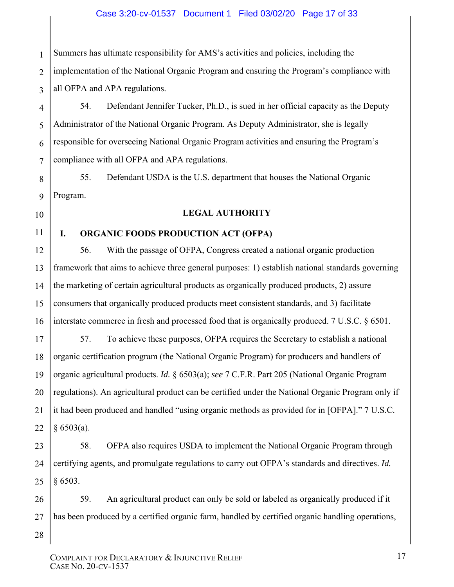#### Case 3:20-cv-01537 Document 1 Filed 03/02/20 Page 17 of 33

1 2 3 Summers has ultimate responsibility for AMS's activities and policies, including the implementation of the National Organic Program and ensuring the Program's compliance with all OFPA and APA regulations.

4 5 6 7 54. Defendant Jennifer Tucker, Ph.D., is sued in her official capacity as the Deputy Administrator of the National Organic Program. As Deputy Administrator, she is legally responsible for overseeing National Organic Program activities and ensuring the Program's compliance with all OFPA and APA regulations.

55. Defendant USDA is the U.S. department that houses the National Organic Program.

#### **LEGAL AUTHORITY**

#### 11

8

9

10

12

13

14

15

16

28

## **I. ORGANIC FOODS PRODUCTION ACT (OFPA)**

56. With the passage of OFPA, Congress created a national organic production framework that aims to achieve three general purposes: 1) establish national standards governing the marketing of certain agricultural products as organically produced products, 2) assure consumers that organically produced products meet consistent standards, and 3) facilitate interstate commerce in fresh and processed food that is organically produced. 7 U.S.C. § 6501.

17 18 19 20 21 22 57. To achieve these purposes, OFPA requires the Secretary to establish a national organic certification program (the National Organic Program) for producers and handlers of organic agricultural products. *Id.* § 6503(a); *see* 7 C.F.R. Part 205 (National Organic Program regulations). An agricultural product can be certified under the National Organic Program only if it had been produced and handled "using organic methods as provided for in [OFPA]." 7 U.S.C.  $§ 6503(a).$ 

23 24 25 58. OFPA also requires USDA to implement the National Organic Program through certifying agents, and promulgate regulations to carry out OFPA's standards and directives. *Id.* § 6503.

26 27 59. An agricultural product can only be sold or labeled as organically produced if it has been produced by a certified organic farm, handled by certified organic handling operations,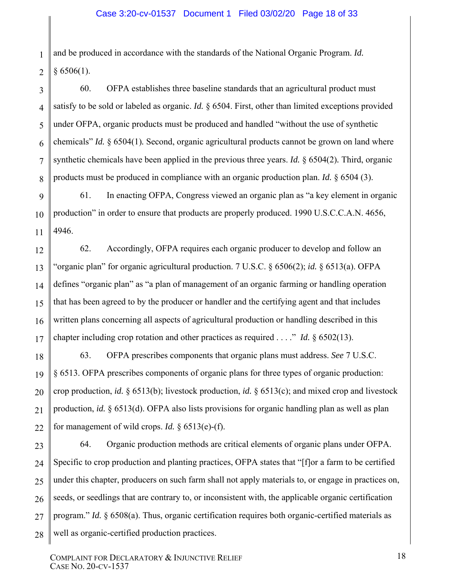1 2 and be produced in accordance with the standards of the National Organic Program. *Id.*  $§ 6506(1).$ 

3

4

5

6

7

8

9

10

11

12

13

14

15

16

17

60. OFPA establishes three baseline standards that an agricultural product must satisfy to be sold or labeled as organic. *Id.* § 6504. First, other than limited exceptions provided under OFPA, organic products must be produced and handled "without the use of synthetic chemicals" *Id.* § 6504(1)*.* Second, organic agricultural products cannot be grown on land where synthetic chemicals have been applied in the previous three years. *Id.* § 6504(2)*.* Third, organic products must be produced in compliance with an organic production plan. *Id.* § 6504 (3).

61. In enacting OFPA, Congress viewed an organic plan as "a key element in organic production" in order to ensure that products are properly produced. 1990 U.S.C.C.A.N. 4656, 4946.

62. Accordingly, OFPA requires each organic producer to develop and follow an "organic plan" for organic agricultural production. 7 U.S.C. § 6506(2); *id.* § 6513(a). OFPA defines "organic plan" as "a plan of management of an organic farming or handling operation that has been agreed to by the producer or handler and the certifying agent and that includes written plans concerning all aspects of agricultural production or handling described in this chapter including crop rotation and other practices as required . . . ." *Id.* § 6502(13).

18 19 20 21 22 63. OFPA prescribes components that organic plans must address. *See* 7 U.S.C. § 6513. OFPA prescribes components of organic plans for three types of organic production: crop production, *id.* § 6513(b); livestock production, *id.* § 6513(c); and mixed crop and livestock production, *id.* § 6513(d). OFPA also lists provisions for organic handling plan as well as plan for management of wild crops. *Id.* § 6513(e)-(f).

23 24 25 26 27 28 64. Organic production methods are critical elements of organic plans under OFPA. Specific to crop production and planting practices, OFPA states that "[f]or a farm to be certified under this chapter, producers on such farm shall not apply materials to, or engage in practices on, seeds, or seedlings that are contrary to, or inconsistent with, the applicable organic certification program." *Id.* § 6508(a). Thus, organic certification requires both organic-certified materials as well as organic-certified production practices.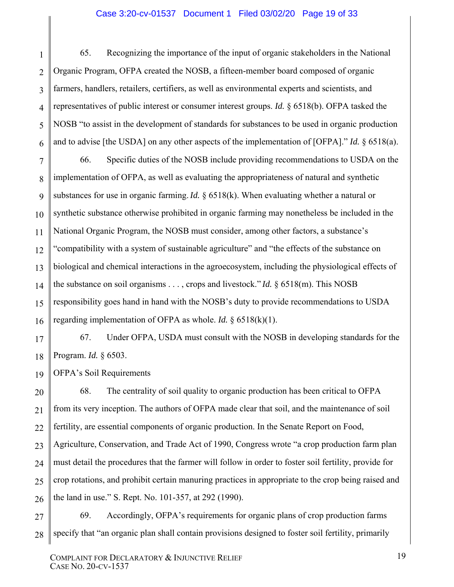#### Case 3:20-cv-01537 Document 1 Filed 03/02/20 Page 19 of 33

65. Recognizing the importance of the input of organic stakeholders in the National Organic Program, OFPA created the NOSB, a fifteen-member board composed of organic farmers, handlers, retailers, certifiers, as well as environmental experts and scientists, and representatives of public interest or consumer interest groups. *Id.* § 6518(b). OFPA tasked the NOSB "to assist in the development of standards for substances to be used in organic production and to advise [the USDA] on any other aspects of the implementation of [OFPA]." *Id.* § 6518(a).

7 8 9 10 11 12 13 14 15 16 66. Specific duties of the NOSB include providing recommendations to USDA on the implementation of OFPA, as well as evaluating the appropriateness of natural and synthetic substances for use in organic farming.*Id.* § 6518(k). When evaluating whether a natural or synthetic substance otherwise prohibited in organic farming may nonetheless be included in the National Organic Program, the NOSB must consider, among other factors, a substance's "compatibility with a system of sustainable agriculture" and "the effects of the substance on biological and chemical interactions in the agroecosystem, including the physiological effects of the substance on soil organisms . . . , crops and livestock." *Id.* § 6518(m). This NOSB responsibility goes hand in hand with the NOSB's duty to provide recommendations to USDA regarding implementation of OFPA as whole. *Id.* § 6518(k)(1).

67. Under OFPA, USDA must consult with the NOSB in developing standards for the Program. *Id.* § 6503.

OFPA's Soil Requirements

1

2

3

4

5

6

17

18

19

20 21 22 23 24 25 26 68. The centrality of soil quality to organic production has been critical to OFPA from its very inception. The authors of OFPA made clear that soil, and the maintenance of soil fertility, are essential components of organic production. In the Senate Report on Food, Agriculture, Conservation, and Trade Act of 1990, Congress wrote "a crop production farm plan must detail the procedures that the farmer will follow in order to foster soil fertility, provide for crop rotations, and prohibit certain manuring practices in appropriate to the crop being raised and the land in use." S. Rept. No. 101-357, at 292 (1990).

27 28 69. Accordingly, OFPA's requirements for organic plans of crop production farms specify that "an organic plan shall contain provisions designed to foster soil fertility, primarily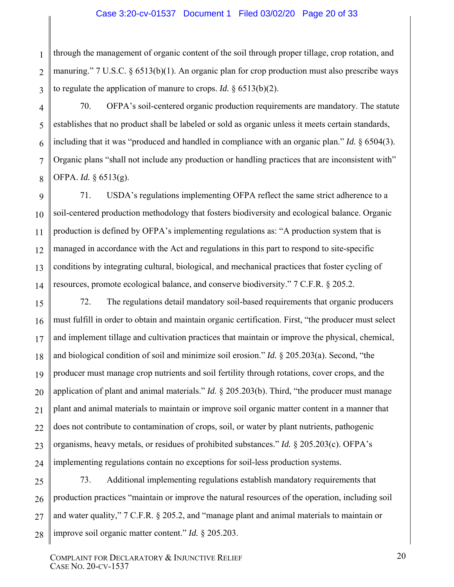2 3 through the management of organic content of the soil through proper tillage, crop rotation, and manuring." 7 U.S.C. § 6513(b)(1). An organic plan for crop production must also prescribe ways to regulate the application of manure to crops. *Id.* § 6513(b)(2).

1

4

5

6

7

8

9

10

11

12

13

14

21

70. OFPA's soil-centered organic production requirements are mandatory. The statute establishes that no product shall be labeled or sold as organic unless it meets certain standards, including that it was "produced and handled in compliance with an organic plan." *Id.* § 6504(3). Organic plans "shall not include any production or handling practices that are inconsistent with" OFPA. *Id.* § 6513(g).

71. USDA's regulations implementing OFPA reflect the same strict adherence to a soil-centered production methodology that fosters biodiversity and ecological balance. Organic production is defined by OFPA's implementing regulations as: "A production system that is managed in accordance with the Act and regulations in this part to respond to site-specific conditions by integrating cultural, biological, and mechanical practices that foster cycling of resources, promote ecological balance, and conserve biodiversity." 7 C.F.R. § 205.2.

15 16 17 18 19 20 22 23 24 72. The regulations detail mandatory soil-based requirements that organic producers must fulfill in order to obtain and maintain organic certification. First, "the producer must select and implement tillage and cultivation practices that maintain or improve the physical, chemical, and biological condition of soil and minimize soil erosion." *Id.* § 205.203(a). Second, "the producer must manage crop nutrients and soil fertility through rotations, cover crops, and the application of plant and animal materials." *Id.* § 205.203(b). Third, "the producer must manage plant and animal materials to maintain or improve soil organic matter content in a manner that does not contribute to contamination of crops, soil, or water by plant nutrients, pathogenic organisms, heavy metals, or residues of prohibited substances." *Id.* § 205.203(c). OFPA's implementing regulations contain no exceptions for soil-less production systems.

25 26 27 28 73. Additional implementing regulations establish mandatory requirements that production practices "maintain or improve the natural resources of the operation, including soil and water quality," 7 C.F.R. § 205.2, and "manage plant and animal materials to maintain or improve soil organic matter content." *Id.* § 205.203.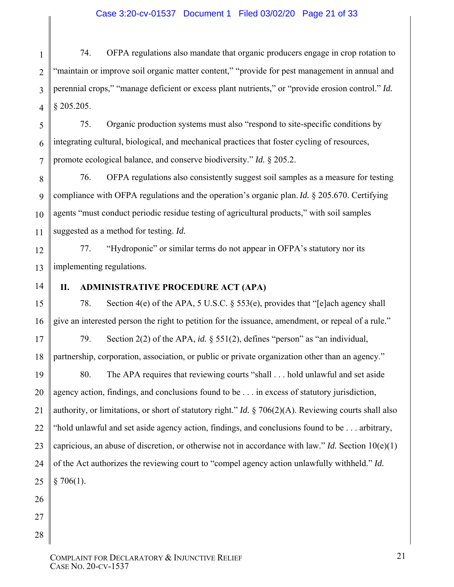1 2 3 4 74. OFPA regulations also mandate that organic producers engage in crop rotation to "maintain or improve soil organic matter content," "provide for pest management in annual and perennial crops," "manage deficient or excess plant nutrients," or "provide erosion control." *Id.* § 205.205.

5 6 7 75. Organic production systems must also "respond to site-specific conditions by integrating cultural, biological, and mechanical practices that foster cycling of resources, promote ecological balance, and conserve biodiversity." *Id.* § 205.2.

8 9 10 11 76. OFPA regulations also consistently suggest soil samples as a measure for testing compliance with OFPA regulations and the operation's organic plan.*Id.* § 205.670. Certifying agents "must conduct periodic residue testing of agricultural products," with soil samples suggested as a method for testing. *Id.*

12 13 77. "Hydroponic" or similar terms do not appear in OFPA's statutory nor its implementing regulations.

14

15

16

## **II. ADMINISTRATIVE PROCEDURE ACT (APA)**

78. Section 4(e) of the APA, 5 U.S.C. § 553(e), provides that "[e]ach agency shall give an interested person the right to petition for the issuance, amendment, or repeal of a rule."

17 18 79. Section 2(2) of the APA, *id.* § 551(2), defines "person" as "an individual, partnership, corporation, association, or public or private organization other than an agency."

19 20 21 22 80. The APA requires that reviewing courts "shall . . . hold unlawful and set aside agency action, findings, and conclusions found to be . . . in excess of statutory jurisdiction, authority, or limitations, or short of statutory right." *Id.* § 706(2)(A). Reviewing courts shall also "hold unlawful and set aside agency action, findings, and conclusions found to be . . . arbitrary, capricious, an abuse of discretion, or otherwise not in accordance with law." *Id.* Section  $10(e)(1)$ of the Act authorizes the reviewing court to "compel agency action unlawfully withheld." *Id.*  $$706(1).$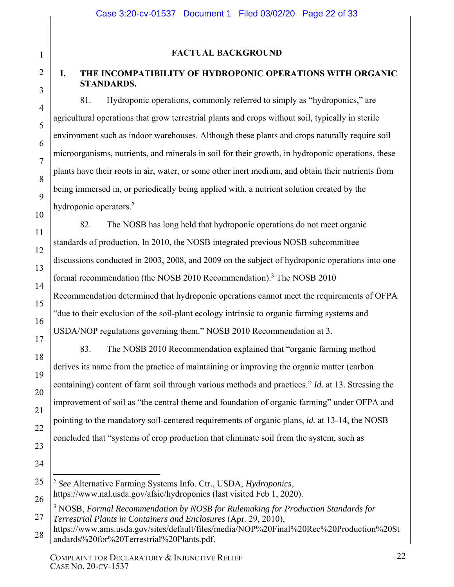## **FACTUAL BACKGROUND**

1

2

3

4

5

6

7

8

9

10

11

12

13

14

15

16

17

18

19

20

21

22

23

24

25

26

## **I. THE INCOMPATIBILITY OF HYDROPONIC OPERATIONS WITH ORGANIC STANDARDS.**

81. Hydroponic operations, commonly referred to simply as "hydroponics," are agricultural operations that grow terrestrial plants and crops without soil, typically in sterile environment such as indoor warehouses. Although these plants and crops naturally require soil microorganisms, nutrients, and minerals in soil for their growth, in hydroponic operations, these plants have their roots in air, water, or some other inert medium, and obtain their nutrients from being immersed in, or periodically being applied with, a nutrient solution created by the hydroponic operators.<sup>2</sup>

82. The NOSB has long held that hydroponic operations do not meet organic standards of production. In 2010, the NOSB integrated previous NOSB subcommittee discussions conducted in 2003, 2008, and 2009 on the subject of hydroponic operations into one formal recommendation (the NOSB 2010 Recommendation).<sup>3</sup> The NOSB 2010 Recommendation determined that hydroponic operations cannot meet the requirements of OFPA "due to their exclusion of the soil-plant ecology intrinsic to organic farming systems and USDA/NOP regulations governing them." NOSB 2010 Recommendation at 3.

83. The NOSB 2010 Recommendation explained that "organic farming method derives its name from the practice of maintaining or improving the organic matter (carbon containing) content of farm soil through various methods and practices." *Id.* at 13. Stressing the improvement of soil as "the central theme and foundation of organic farming" under OFPA and pointing to the mandatory soil-centered requirements of organic plans, *id.* at 13-14, the NOSB concluded that "systems of crop production that eliminate soil from the system, such as

 $\overline{a}$ <sup>2</sup> *See* Alternative Farming Systems Info. Ctr., USDA, *Hydroponics*, https://www.nal.usda.gov/afsic/hydroponics (last visited Feb 1, 2020).

27 <sup>3</sup> NOSB, *Formal Recommendation by NOSB for Rulemaking for Production Standards for Terrestrial Plants in Containers and Enclosures* (Apr. 29, 2010),

<sup>28</sup> https://www.ams.usda.gov/sites/default/files/media/NOP%20Final%20Rec%20Production%20St andards%20for%20Terrestrial%20Plants.pdf.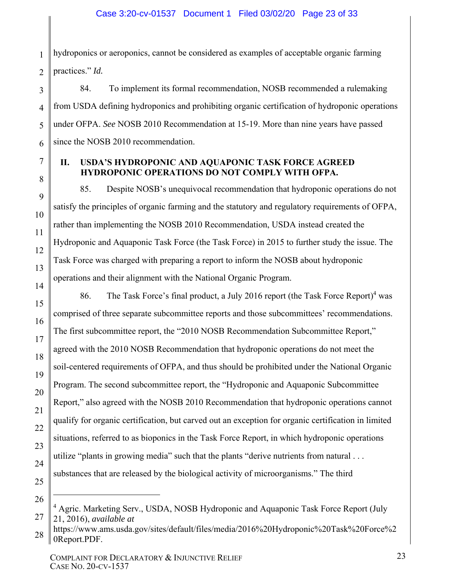1 2 hydroponics or aeroponics, cannot be considered as examples of acceptable organic farming practices." *Id.*

84. To implement its formal recommendation, NOSB recommended a rulemaking from USDA defining hydroponics and prohibiting organic certification of hydroponic operations under OFPA. *See* NOSB 2010 Recommendation at 15-19. More than nine years have passed since the NOSB 2010 recommendation.

## **II. USDA'S HYDROPONIC AND AQUAPONIC TASK FORCE AGREED HYDROPONIC OPERATIONS DO NOT COMPLY WITH OFPA.**

85. Despite NOSB's unequivocal recommendation that hydroponic operations do not satisfy the principles of organic farming and the statutory and regulatory requirements of OFPA, rather than implementing the NOSB 2010 Recommendation, USDA instead created the Hydroponic and Aquaponic Task Force (the Task Force) in 2015 to further study the issue. The Task Force was charged with preparing a report to inform the NOSB about hydroponic operations and their alignment with the National Organic Program.

86. The Task Force's final product, a July 2016 report (the Task Force Report)<sup>4</sup> was comprised of three separate subcommittee reports and those subcommittees' recommendations. The first subcommittee report, the "2010 NOSB Recommendation Subcommittee Report," agreed with the 2010 NOSB Recommendation that hydroponic operations do not meet the soil-centered requirements of OFPA, and thus should be prohibited under the National Organic Program. The second subcommittee report, the "Hydroponic and Aquaponic Subcommittee Report," also agreed with the NOSB 2010 Recommendation that hydroponic operations cannot qualify for organic certification, but carved out an exception for organic certification in limited situations, referred to as bioponics in the Task Force Report, in which hydroponic operations utilize "plants in growing media" such that the plants "derive nutrients from natural . . . substances that are released by the biological activity of microorganisms." The third

26

1

27

3

4

5

6

7

8

9

10

11

12

13

14

15

16

17

18

19

20

21

22

23

24

<sup>&</sup>lt;sup>4</sup> Agric. Marketing Serv., USDA, NOSB Hydroponic and Aquaponic Task Force Report (July 21, 2016), *available at*

<sup>28</sup> https://www.ams.usda.gov/sites/default/files/media/2016%20Hydroponic%20Task%20Force%2 0Report.PDF.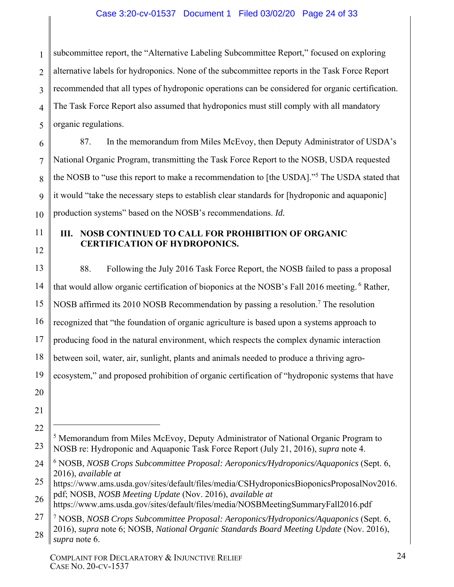## Case 3:20-cv-01537 Document 1 Filed 03/02/20 Page 24 of 33

1 2 3 4 5 subcommittee report, the "Alternative Labeling Subcommittee Report," focused on exploring alternative labels for hydroponics. None of the subcommittee reports in the Task Force Report recommended that all types of hydroponic operations can be considered for organic certification. The Task Force Report also assumed that hydroponics must still comply with all mandatory organic regulations.

6 7 8 9 10 87. In the memorandum from Miles McEvoy, then Deputy Administrator of USDA's National Organic Program, transmitting the Task Force Report to the NOSB, USDA requested the NOSB to "use this report to make a recommendation to [the USDA]."<sup>5</sup> The USDA stated that it would "take the necessary steps to establish clear standards for [hydroponic and aquaponic] production systems" based on the NOSB's recommendations. *Id.*

## **III. NOSB CONTINUED TO CALL FOR PROHIBITION OF ORGANIC CERTIFICATION OF HYDROPONICS.**

11

12

13 14 15 16 17 18 19 20 21 22 23 24 88. Following the July 2016 Task Force Report, the NOSB failed to pass a proposal that would allow organic certification of bioponics at the NOSB's Fall 2016 meeting. <sup>6</sup> Rather, NOSB affirmed its 2010 NOSB Recommendation by passing a resolution.<sup>7</sup> The resolution recognized that "the foundation of organic agriculture is based upon a systems approach to producing food in the natural environment, which respects the complex dynamic interaction between soil, water, air, sunlight, plants and animals needed to produce a thriving agroecosystem," and proposed prohibition of organic certification of "hydroponic systems that have  $\overline{a}$ <sup>5</sup> Memorandum from Miles McEvoy, Deputy Administrator of National Organic Program to NOSB re: Hydroponic and Aquaponic Task Force Report (July 21, 2016), *supra* note 4. 6 NOSB, *NOSB Crops Subcommittee Proposal: Aeroponics/Hydroponics/Aquaponics* (Sept. 6, 2016), *available at* 

25 https://www.ams.usda.gov/sites/default/files/media/CSHydroponicsBioponicsProposalNov2016. pdf; NOSB, *NOSB Meeting Update* (Nov. 2016), *available at*

26 https://www.ams.usda.gov/sites/default/files/media/NOSBMeetingSummaryFall2016.pdf

<sup>27</sup> 28 7 NOSB, *NOSB Crops Subcommittee Proposal: Aeroponics/Hydroponics/Aquaponics* (Sept. 6, 2016), *supra* note 6; NOSB, *National Organic Standards Board Meeting Update* (Nov. 2016), *supra* note 6.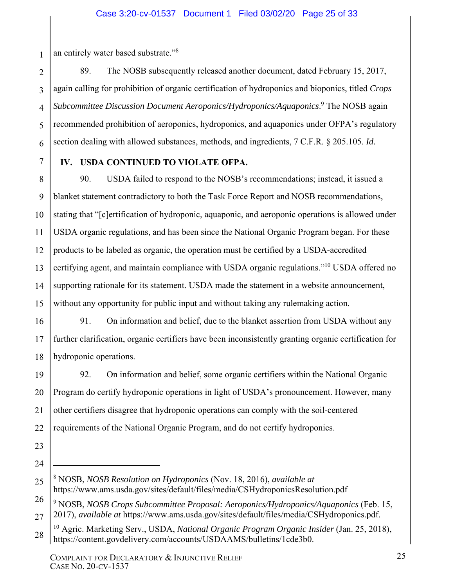1 an entirely water based substrate."<sup>8</sup>

2 3 4 5 89. The NOSB subsequently released another document, dated February 15, 2017, again calling for prohibition of organic certification of hydroponics and bioponics, titled *Crops*  Subcommittee Discussion Document Aeroponics/Hydroponics/Aquaponics.<sup>9</sup> The NOSB again recommended prohibition of aeroponics, hydroponics, and aquaponics under OFPA's regulatory section dealing with allowed substances, methods, and ingredients, 7 C.F.R. § 205.105. *Id.*

## **IV. USDA CONTINUED TO VIOLATE OFPA.**

15 90. USDA failed to respond to the NOSB's recommendations; instead, it issued a blanket statement contradictory to both the Task Force Report and NOSB recommendations, stating that "[c]ertification of hydroponic, aquaponic, and aeroponic operations is allowed under USDA organic regulations, and has been since the National Organic Program began. For these products to be labeled as organic, the operation must be certified by a USDA-accredited certifying agent, and maintain compliance with USDA organic regulations."10 USDA offered no supporting rationale for its statement. USDA made the statement in a website announcement, without any opportunity for public input and without taking any rulemaking action.

16 17 18 91. On information and belief, due to the blanket assertion from USDA without any further clarification, organic certifiers have been inconsistently granting organic certification for hydroponic operations.

19 20 21 22 92. On information and belief, some organic certifiers within the National Organic Program do certify hydroponic operations in light of USDA's pronouncement. However, many other certifiers disagree that hydroponic operations can comply with the soil-centered requirements of the National Organic Program, and do not certify hydroponics.

23 24

 $\overline{a}$ 

<sup>8</sup> NOSB, *NOSB Resolution on Hydroponics* (Nov. 18, 2016), *available at* https://www.ams.usda.gov/sites/default/files/media/CSHydroponicsResolution.pdf

<sup>26</sup> 27 9 NOSB, *NOSB Crops Subcommittee Proposal: Aeroponics/Hydroponics/Aquaponics* (Feb. 15, 2017), *available at* https://www.ams.usda.gov/sites/default/files/media/CSHydroponics.pdf.

<sup>28</sup> 10 Agric. Marketing Serv., USDA, *National Organic Program Organic Insider* (Jan. 25, 2018), https://content.govdelivery.com/accounts/USDAAMS/bulletins/1cde3b0.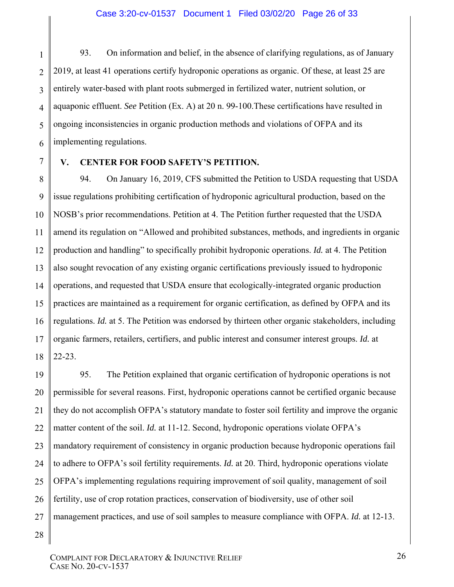1 2 3 4 5 6 93. On information and belief, in the absence of clarifying regulations, as of January 2019, at least 41 operations certify hydroponic operations as organic. Of these, at least 25 are entirely water-based with plant roots submerged in fertilized water, nutrient solution, or aquaponic effluent. *See* Petition (Ex. A) at 20 n. 99-100.These certifications have resulted in ongoing inconsistencies in organic production methods and violations of OFPA and its implementing regulations.

7 8 9

## **V. CENTER FOR FOOD SAFETY'S PETITION.**

10 11 12 13 14 15 16 17 18 94. On January 16, 2019, CFS submitted the Petition to USDA requesting that USDA issue regulations prohibiting certification of hydroponic agricultural production, based on the NOSB's prior recommendations. Petition at 4. The Petition further requested that the USDA amend its regulation on "Allowed and prohibited substances, methods, and ingredients in organic production and handling" to specifically prohibit hydroponic operations. *Id.* at 4. The Petition also sought revocation of any existing organic certifications previously issued to hydroponic operations, and requested that USDA ensure that ecologically-integrated organic production practices are maintained as a requirement for organic certification, as defined by OFPA and its regulations. *Id.* at 5. The Petition was endorsed by thirteen other organic stakeholders, including organic farmers, retailers, certifiers, and public interest and consumer interest groups. *Id.* at 22-23.

19 20 21 22 23 24 25 26 27 95. The Petition explained that organic certification of hydroponic operations is not permissible for several reasons. First, hydroponic operations cannot be certified organic because they do not accomplish OFPA's statutory mandate to foster soil fertility and improve the organic matter content of the soil. *Id.* at 11-12. Second, hydroponic operations violate OFPA's mandatory requirement of consistency in organic production because hydroponic operations fail to adhere to OFPA's soil fertility requirements. *Id.* at 20. Third, hydroponic operations violate OFPA's implementing regulations requiring improvement of soil quality, management of soil fertility, use of crop rotation practices, conservation of biodiversity, use of other soil management practices, and use of soil samples to measure compliance with OFPA. *Id.* at 12-13.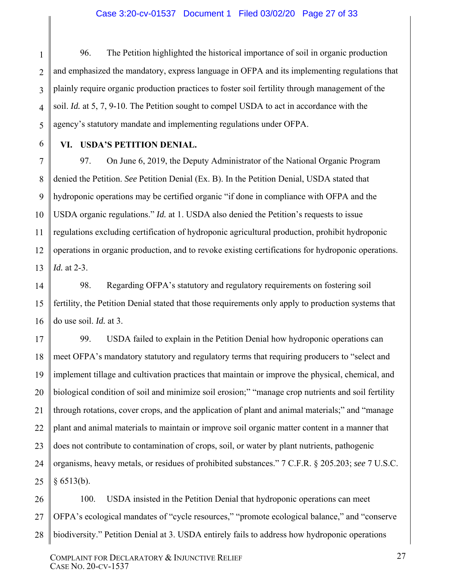#### Case 3:20-cv-01537 Document 1 Filed 03/02/20 Page 27 of 33

1 2 3 4 5 96. The Petition highlighted the historical importance of soil in organic production and emphasized the mandatory, express language in OFPA and its implementing regulations that plainly require organic production practices to foster soil fertility through management of the soil. *Id.* at 5, 7, 9-10. The Petition sought to compel USDA to act in accordance with the agency's statutory mandate and implementing regulations under OFPA.

**VI. USDA'S PETITION DENIAL.** 

6

7 8 9 10 11 12 13 97. On June 6, 2019, the Deputy Administrator of the National Organic Program denied the Petition. *See* Petition Denial (Ex. B). In the Petition Denial, USDA stated that hydroponic operations may be certified organic "if done in compliance with OFPA and the USDA organic regulations." *Id.* at 1. USDA also denied the Petition's requests to issue regulations excluding certification of hydroponic agricultural production, prohibit hydroponic operations in organic production, and to revoke existing certifications for hydroponic operations. *Id.* at 2-3.

14 15 16 98. Regarding OFPA's statutory and regulatory requirements on fostering soil fertility, the Petition Denial stated that those requirements only apply to production systems that do use soil. *Id.* at 3.

17 18 19 20 21 22 23 24 25 99. USDA failed to explain in the Petition Denial how hydroponic operations can meet OFPA's mandatory statutory and regulatory terms that requiring producers to "select and implement tillage and cultivation practices that maintain or improve the physical, chemical, and biological condition of soil and minimize soil erosion;" "manage crop nutrients and soil fertility through rotations, cover crops, and the application of plant and animal materials;" and "manage plant and animal materials to maintain or improve soil organic matter content in a manner that does not contribute to contamination of crops, soil, or water by plant nutrients, pathogenic organisms, heavy metals, or residues of prohibited substances." 7 C.F.R. § 205.203; *see* 7 U.S.C.  $§ 6513(b).$ 

26 27 28 100. USDA insisted in the Petition Denial that hydroponic operations can meet OFPA's ecological mandates of "cycle resources," "promote ecological balance," and "conserve biodiversity." Petition Denial at 3. USDA entirely fails to address how hydroponic operations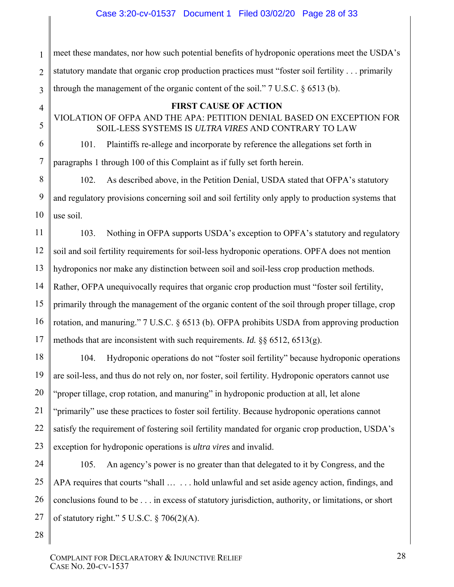1 2 3 meet these mandates, nor how such potential benefits of hydroponic operations meet the USDA's statutory mandate that organic crop production practices must "foster soil fertility . . . primarily through the management of the organic content of the soil."  $7 \text{ U.S.C. } 86513 \text{ (b)}$ .

### **FIRST CAUSE OF ACTION**

VIOLATION OF OFPA AND THE APA: PETITION DENIAL BASED ON EXCEPTION FOR SOIL-LESS SYSTEMS IS *ULTRA VIRES* AND CONTRARY TO LAW

101. Plaintiffs re-allege and incorporate by reference the allegations set forth in paragraphs 1 through 100 of this Complaint as if fully set forth herein.

8 9 10 102. As described above, in the Petition Denial, USDA stated that OFPA's statutory and regulatory provisions concerning soil and soil fertility only apply to production systems that use soil.

11 12 13 14 15 16 17 103. Nothing in OFPA supports USDA's exception to OPFA's statutory and regulatory soil and soil fertility requirements for soil-less hydroponic operations. OPFA does not mention hydroponics nor make any distinction between soil and soil-less crop production methods. Rather, OFPA unequivocally requires that organic crop production must "foster soil fertility, primarily through the management of the organic content of the soil through proper tillage, crop rotation, and manuring." 7 U.S.C. § 6513 (b). OFPA prohibits USDA from approving production methods that are inconsistent with such requirements. *Id.* §§ 6512, 6513(g).

18 19 20 21 22 23 104. Hydroponic operations do not "foster soil fertility" because hydroponic operations are soil-less, and thus do not rely on, nor foster, soil fertility. Hydroponic operators cannot use "proper tillage, crop rotation, and manuring" in hydroponic production at all, let alone "primarily" use these practices to foster soil fertility. Because hydroponic operations cannot satisfy the requirement of fostering soil fertility mandated for organic crop production, USDA's exception for hydroponic operations is *ultra vires* and invalid.

24 25 26 27 105. An agency's power is no greater than that delegated to it by Congress, and the APA requires that courts "shall ... ... hold unlawful and set aside agency action, findings, and conclusions found to be . . . in excess of statutory jurisdiction, authority, or limitations, or short of statutory right."  $5$  U.S.C.  $\frac{6}{9}$  706(2)(A).

28

4

5

6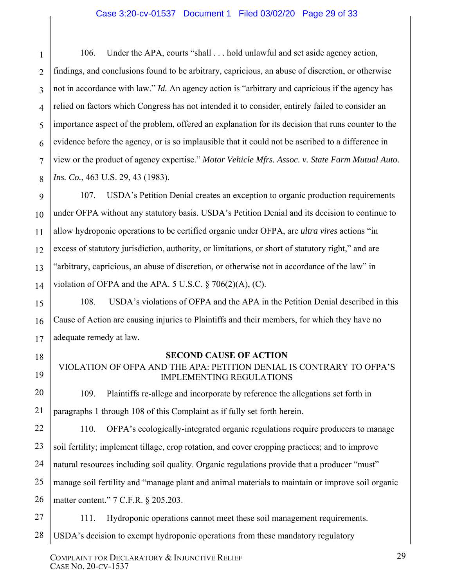### Case 3:20-cv-01537 Document 1 Filed 03/02/20 Page 29 of 33

1 2 3 4 5 6 7 8 106. Under the APA, courts "shall . . . hold unlawful and set aside agency action, findings, and conclusions found to be arbitrary, capricious, an abuse of discretion, or otherwise not in accordance with law." *Id.* An agency action is "arbitrary and capricious if the agency has relied on factors which Congress has not intended it to consider, entirely failed to consider an importance aspect of the problem, offered an explanation for its decision that runs counter to the evidence before the agency, or is so implausible that it could not be ascribed to a difference in view or the product of agency expertise." *Motor Vehicle Mfrs. Assoc. v. State Farm Mutual Auto. Ins. Co.*, 463 U.S. 29, 43 (1983).

9 10 11 12 13 14 107. USDA's Petition Denial creates an exception to organic production requirements under OFPA without any statutory basis. USDA's Petition Denial and its decision to continue to allow hydroponic operations to be certified organic under OFPA, are *ultra vires* actions "in excess of statutory jurisdiction, authority, or limitations, or short of statutory right," and are "arbitrary, capricious, an abuse of discretion, or otherwise not in accordance of the law" in violation of OFPA and the APA. 5 U.S.C.  $\S$  706(2)(A), (C).

108. USDA's violations of OFPA and the APA in the Petition Denial described in this Cause of Action are causing injuries to Plaintiffs and their members, for which they have no adequate remedy at law.

15

16

17

18

19

27

### **SECOND CAUSE OF ACTION**

VIOLATION OF OFPA AND THE APA: PETITION DENIAL IS CONTRARY TO OFPA'S IMPLEMENTING REGULATIONS

20 21 109. Plaintiffs re-allege and incorporate by reference the allegations set forth in paragraphs 1 through 108 of this Complaint as if fully set forth herein.

22 110. OFPA's ecologically-integrated organic regulations require producers to manage

23 soil fertility; implement tillage, crop rotation, and cover cropping practices; and to improve

24 natural resources including soil quality. Organic regulations provide that a producer "must"

25 manage soil fertility and "manage plant and animal materials to maintain or improve soil organic

26 matter content." 7 C.F.R. § 205.203.

111. Hydroponic operations cannot meet these soil management requirements.

28 USDA's decision to exempt hydroponic operations from these mandatory regulatory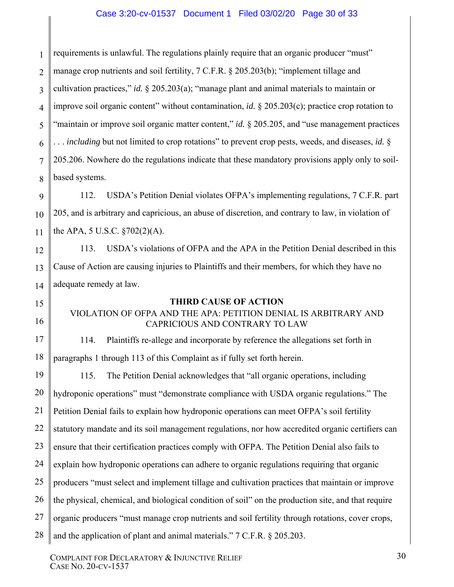1 2 3 4 5 6 7 8 requirements is unlawful. The regulations plainly require that an organic producer "must" manage crop nutrients and soil fertility, 7 C.F.R. § 205.203(b); "implement tillage and cultivation practices," *id.* § 205.203(a); "manage plant and animal materials to maintain or improve soil organic content" without contamination, *id.* § 205.203(c); practice crop rotation to "maintain or improve soil organic matter content," *id.* § 205.205, and "use management practices" . . . *including* but not limited to crop rotations" to prevent crop pests, weeds, and diseases, *id.* § 205.206. Nowhere do the regulations indicate that these mandatory provisions apply only to soilbased systems.

112. USDA's Petition Denial violates OFPA's implementing regulations, 7 C.F.R. part 205, and is arbitrary and capricious, an abuse of discretion, and contrary to law, in violation of the APA, 5 U.S.C. §702(2)(A).

113. USDA's violations of OFPA and the APA in the Petition Denial described in this Cause of Action are causing injuries to Plaintiffs and their members, for which they have no adequate remedy at law.

## **THIRD CAUSE OF ACTION**

# VIOLATION OF OFPA AND THE APA: PETITION DENIAL IS ARBITRARY AND CAPRICIOUS AND CONTRARY TO LAW

17 18 114. Plaintiffs re-allege and incorporate by reference the allegations set forth in paragraphs 1 through 113 of this Complaint as if fully set forth herein.

19 20 21 22 23 24 25 26 27 28 115. The Petition Denial acknowledges that "all organic operations, including hydroponic operations" must "demonstrate compliance with USDA organic regulations." The Petition Denial fails to explain how hydroponic operations can meet OFPA's soil fertility statutory mandate and its soil management regulations, nor how accredited organic certifiers can ensure that their certification practices comply with OFPA. The Petition Denial also fails to explain how hydroponic operations can adhere to organic regulations requiring that organic producers "must select and implement tillage and cultivation practices that maintain or improve the physical, chemical, and biological condition of soil" on the production site, and that require organic producers "must manage crop nutrients and soil fertility through rotations, cover crops, and the application of plant and animal materials." 7 C.F.R. § 205.203.

9

10

11

12

13

14

15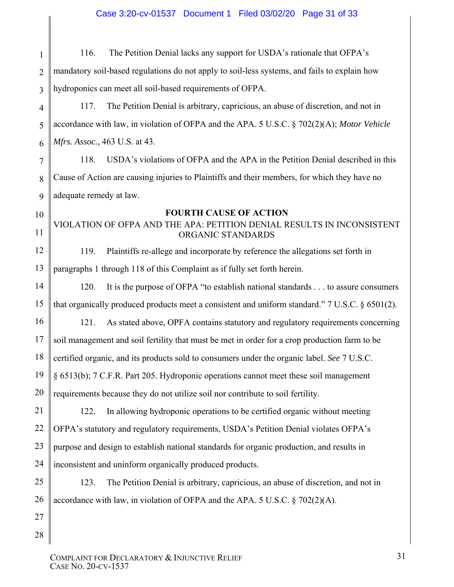1 2 3 4 5 6 7 8 9 10 11 12 13 14 15 16 17 18 19 20 21 22 23 24 25 26 27 28 116. The Petition Denial lacks any support for USDA's rationale that OFPA's mandatory soil-based regulations do not apply to soil-less systems, and fails to explain how hydroponics can meet all soil-based requirements of OFPA. 117. The Petition Denial is arbitrary, capricious, an abuse of discretion, and not in accordance with law, in violation of OFPA and the APA. 5 U.S.C. § 702(2)(A); *Motor Vehicle Mfrs. Assoc.*, 463 U.S. at 43. 118. USDA's violations of OFPA and the APA in the Petition Denial described in this Cause of Action are causing injuries to Plaintiffs and their members, for which they have no adequate remedy at law. **FOURTH CAUSE OF ACTION**  VIOLATION OF OFPA AND THE APA: PETITION DENIAL RESULTS IN INCONSISTENT ORGANIC STANDARDS 119. Plaintiffs re-allege and incorporate by reference the allegations set forth in paragraphs 1 through 118 of this Complaint as if fully set forth herein. 120. It is the purpose of OFPA "to establish national standards . . . to assure consumers that organically produced products meet a consistent and uniform standard." 7 U.S.C. § 6501(2). 121. As stated above, OPFA contains statutory and regulatory requirements concerning soil management and soil fertility that must be met in order for a crop production farm to be certified organic, and its products sold to consumers under the organic label. *See* 7 U.S.C. § 6513(b); 7 C.F.R. Part 205. Hydroponic operations cannot meet these soil management requirements because they do not utilize soil nor contribute to soil fertility. 122. In allowing hydroponic operations to be certified organic without meeting OFPA's statutory and regulatory requirements, USDA's Petition Denial violates OFPA's purpose and design to establish national standards for organic production, and results in inconsistent and uninform organically produced products. 123. The Petition Denial is arbitrary, capricious, an abuse of discretion, and not in accordance with law, in violation of OFPA and the APA. 5 U.S.C. § 702(2)(A).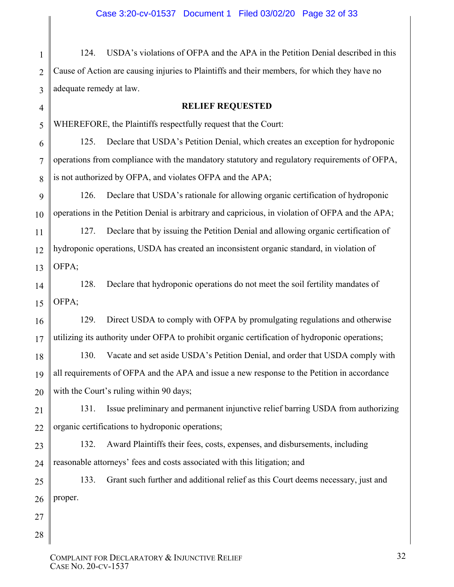1 2 3 124. USDA's violations of OFPA and the APA in the Petition Denial described in this Cause of Action are causing injuries to Plaintiffs and their members, for which they have no adequate remedy at law.

#### **RELIEF REQUESTED**

WHEREFORE, the Plaintiffs respectfully request that the Court:

6 7 8 125. Declare that USDA's Petition Denial, which creates an exception for hydroponic operations from compliance with the mandatory statutory and regulatory requirements of OFPA, is not authorized by OFPA, and violates OFPA and the APA;

126. Declare that USDA's rationale for allowing organic certification of hydroponic operations in the Petition Denial is arbitrary and capricious, in violation of OFPA and the APA;

127. Declare that by issuing the Petition Denial and allowing organic certification of hydroponic operations, USDA has created an inconsistent organic standard, in violation of OFPA;

14 15 128. Declare that hydroponic operations do not meet the soil fertility mandates of OFPA;

129. Direct USDA to comply with OFPA by promulgating regulations and otherwise utilizing its authority under OFPA to prohibit organic certification of hydroponic operations;

18 19 20 130. Vacate and set aside USDA's Petition Denial, and order that USDA comply with all requirements of OFPA and the APA and issue a new response to the Petition in accordance with the Court's ruling within 90 days;

21 22 131. Issue preliminary and permanent injunctive relief barring USDA from authorizing organic certifications to hydroponic operations;

23 24 132. Award Plaintiffs their fees, costs, expenses, and disbursements, including reasonable attorneys' fees and costs associated with this litigation; and

25 26 133. Grant such further and additional relief as this Court deems necessary, just and proper.

27 28

4

5

9

10

11

12

13

16